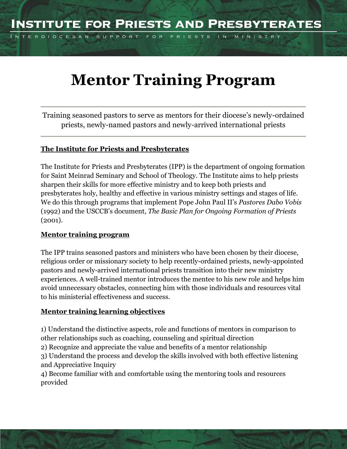FOR PRIESTS IN MINISTRY

# **Mentor Training Program**

Training seasoned pastors to serve as mentors for their diocese's newly-ordained priests, newly-named pastors and newly-arrived international priests

# **The Institute for Priests and Presbyterates**

The Institute for Priests and Presbyterates (IPP) is the department of ongoing formation for Saint Meinrad Seminary and School of Theology. The Institute aims to help priests sharpen their skills for more effective ministry and to keep both priests and presbyterates holy, healthy and effective in various ministry settings and stages of life. We do this through programs that implement Pope John Paul II's *Pastores Dabo Vobis* (1992) and the USCCB's document, *The Basic Plan for Ongoing Formation of Priests* (2001).

#### **Mentor training program**

INTERDIOCESAN SUPPORT

The IPP trains seasoned pastors and ministers who have been chosen by their diocese, religious order or missionary society to help recently-ordained priests, newly-appointed pastors and newly-arrived international priests transition into their new ministry experiences. A well-trained mentor introduces the mentee to his new role and helps him avoid unnecessary obstacles, connecting him with those individuals and resources vital to his ministerial effectiveness and success.

# **Mentor training learning objectives**

1) Understand the distinctive aspects, role and functions of mentors in comparison to other relationships such as coaching, counseling and spiritual direction

2) Recognize and appreciate the value and benefits of a mentor relationship

3) Understand the process and develop the skills involved with both effective listening and Appreciative Inquiry

4) Become familiar with and comfortable using the mentoring tools and resources provided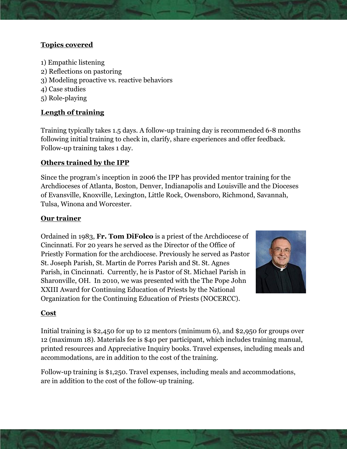# **Topics covered**

- 1) Empathic listening
- 2) Reflections on pastoring
- 3) Modeling proactive vs. reactive behaviors
- 4) Case studies
- 5) Role-playing

# **Length of training**

Training typically takes 1.5 days. A follow-up training day is recommended 6-8 months following initial training to check in, clarify, share experiences and offer feedback. Follow-up training takes 1 day.

#### **Others trained by the IPP**

Since the program's inception in 2006 the IPP has provided mentor training for the Archdioceses of Atlanta, Boston, Denver, Indianapolis and Louisville and the Dioceses of Evansville, Knoxville, Lexington, Little Rock, Owensboro, Richmond, Savannah, Tulsa, Winona and Worcester.

# **Our trainer**

Ordained in 1983, **Fr. Tom DiFolco** is a priest of the Archdiocese of Cincinnati. For 20 years he served as the Director of the Office of Priestly Formation for the archdiocese. Previously he served as Pastor St. Joseph Parish, St. Martin de Porres Parish and St. St. Agnes Parish, in Cincinnati. Currently, he is Pastor of St. Michael Parish in Sharonville, OH. In 2010, we was presented with the The Pope John XXIII Award for Continuing Education of Priests by the National Organization for the Continuing Education of Priests (NOCERCC).



#### **Cost**

Initial training is \$2,450 for up to 12 mentors (minimum 6), and \$2,950 for groups over 12 (maximum 18). Materials fee is \$40 per participant, which includes training manual, printed resources and Appreciative Inquiry books. Travel expenses, including meals and accommodations, are in addition to the cost of the training.

Follow-up training is \$1,250. Travel expenses, including meals and accommodations, are in addition to the cost of the follow-up training.